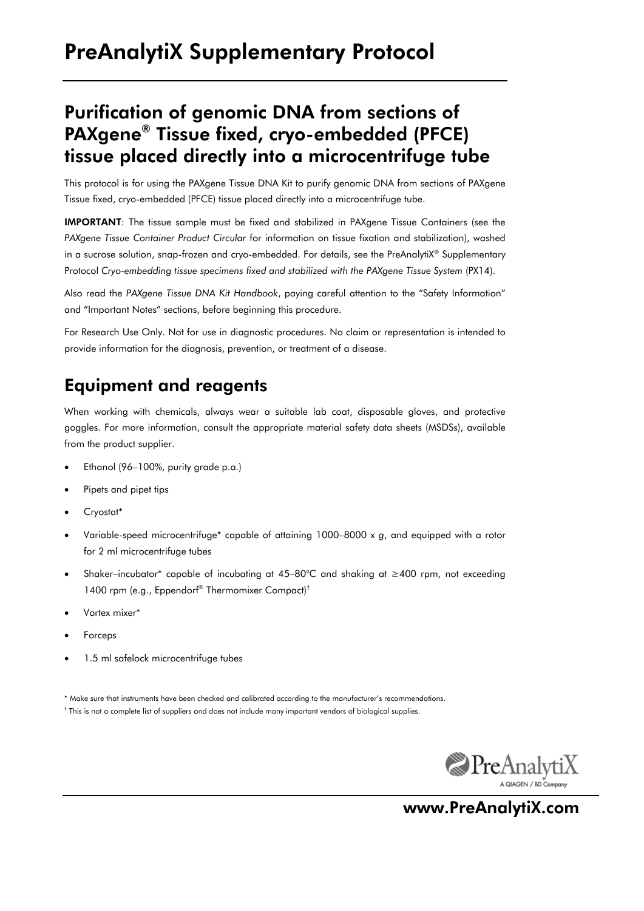## Purification of genomic DNA from sections of PAXgene® Tissue fixed, cryo-embedded (PFCE) tissue placed directly into a microcentrifuge tube

This protocol is for using the PAXgene Tissue DNA Kit to purify genomic DNA from sections of PAXgene Tissue fixed, cryo-embedded (PFCE) tissue placed directly into a microcentrifuge tube.

IMPORTANT: The tissue sample must be fixed and stabilized in PAXgene Tissue Containers (see the *PAXgene Tissue Container Product Circular* for information on tissue fixation and stabilization), washed in a sucrose solution, snap-frozen and cryo-embedded. For details, see the PreAnalytiX® Supplementary Protocol *Cryo-embedding tissue specimens fixed and stabilized with the PAXgene Tissue System* (PX14).

Also read the *PAXgene Tissue DNA Kit Handbook*, paying careful attention to the "Safety Information" and "Important Notes" sections, before beginning this procedure.

For Research Use Only. Not for use in diagnostic procedures. No claim or representation is intended to provide information for the diagnosis, prevention, or treatment of a disease.

### Equipment and reagents

When working with chemicals, always wear a suitable lab coat, disposable gloves, and protective goggles. For more information, consult the appropriate material safety data sheets (MSDSs), available from the product supplier.

- Ethanol (96–100%, purity grade p.a.)
- Pipets and pipet tips
- Cryostat\*
- Variable-speed microcentrifuge\* capable of attaining 1000–8000 x *g*, and equipped with a rotor for 2 ml microcentrifuge tubes
- Shaker–incubator\* capable of incubating at 45–80°C and shaking at ≥400 rpm, not exceeding 1400 rpm (e.g., Eppendorf® Thermomixer Compact)†
- Vortex mixer\*
- Forceps
- 1.5 ml safelock microcentrifuge tubes

\* Make sure that instruments have been checked and calibrated according to the manufacturer's recommendations.





www.PreAnalytiX.com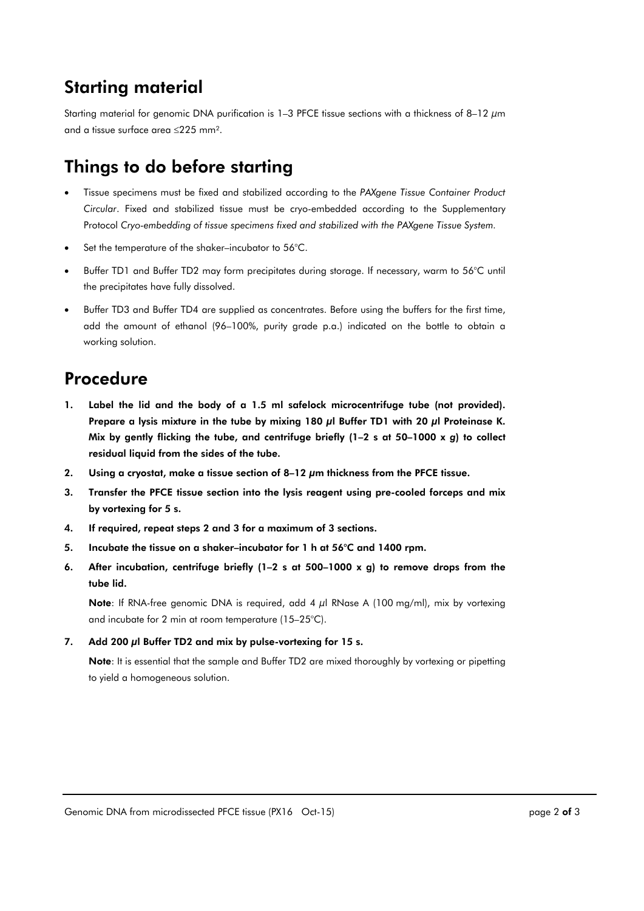## Starting material

Starting material for genomic DNA purification is 1–3 PFCE tissue sections with a thickness of 8–12  $\mu$ m and a tissue surface area  $\leq$ 225 mm<sup>2</sup>.

# Things to do before starting

- Tissue specimens must be fixed and stabilized according to the *PAXgene Tissue Container Product Circular*. Fixed and stabilized tissue must be cryo-embedded according to the Supplementary Protocol *Cryo-embedding of tissue specimens fixed and stabilized with the PAXgene Tissue System.*
- Set the temperature of the shaker–incubator to 56°C.
- Buffer TD1 and Buffer TD2 may form precipitates during storage. If necessary, warm to 56°C until the precipitates have fully dissolved.
- Buffer TD3 and Buffer TD4 are supplied as concentrates. Before using the buffers for the first time, add the amount of ethanol (96–100%, purity grade p.a.) indicated on the bottle to obtain a working solution.

## Procedure

- 1. Label the lid and the body of a 1.5 ml safelock microcentrifuge tube (not provided). Prepare a lysis mixture in the tube by mixing 180 μl Buffer TD1 with 20 μl Proteinase K. Mix by gently flicking the tube, and centrifuge briefly (1–2 s at 50–1000 x *g*) to collect residual liquid from the sides of the tube.
- 2. Using a cryostat, make a tissue section of 8–12 μm thickness from the PFCE tissue.
- 3. Transfer the PFCE tissue section into the lysis reagent using pre-cooled forceps and mix by vortexing for 5 s.
- 4. If required, repeat steps 2 and 3 for a maximum of 3 sections.
- 5. Incubate the tissue on a shaker–incubator for 1 h at 56°C and 1400 rpm.
- 6. After incubation, centrifuge briefly (1–2 s at 500–1000 x g) to remove drops from the tube lid.

Note: If RNA-free genomic DNA is required, add 4 μl RNase A (100 mg/ml), mix by vortexing and incubate for 2 min at room temperature (15–25°C).

#### 7. Add 200 µl Buffer TD2 and mix by pulse-vortexing for 15 s.

Note: It is essential that the sample and Buffer TD2 are mixed thoroughly by vortexing or pipetting to yield a homogeneous solution.